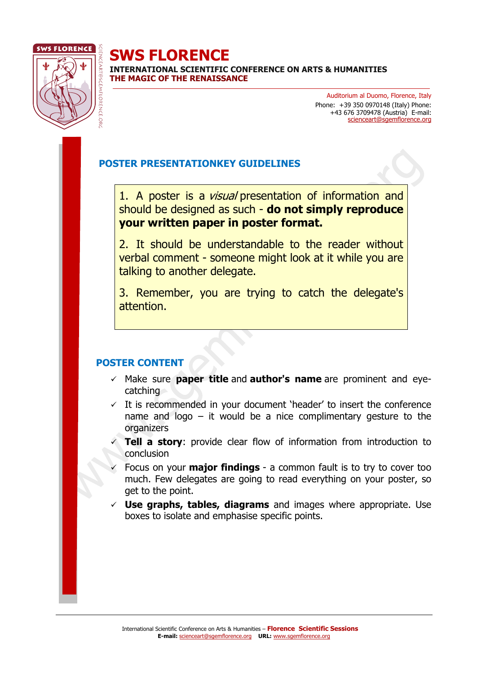

**SWS FLORENCE INTERNATIONAL SCIENTIFIC CONFERENCE ON ARTS & HUMANITIES THE MAGIC OF THE RENAISSANCE**

> Auditorium al Duomo, Florence, Italy Phone: +39 350 0970148 (Italy) Phone: +43 676 3709478 (Austria) E-mail: scienceart[@sgemflorence.org](mailto:borghese@sgemflorence.org)

## **POSTER PRESENTATIONKEY GUIDELINES**

1. A poster is a *visual* presentation of information and should be designed as such - **do not simply reproduce your written paper in poster format.**

2. It should be understandable to the reader without verbal comment - someone might look at it while you are talking to another delegate.

3. Remember, you are trying to catch the delegate's attention.

## **POSTER CONTENT**

- ✓ Make sure **paper title** and **author's name** are prominent and eyecatching
- $\checkmark$  It is recommended in your document 'header' to insert the conference name and logo – it would be a nice complimentary gesture to the organizers
- ✓ **Tell a story**: provide clear flow of information from introduction to conclusion
- ✓ Focus on your **major findings** a common fault is to try to cover too much. Few delegates are going to read everything on your poster, so get to the point.
- **Use graphs, tables, diagrams** and images where appropriate. Use boxes to isolate and emphasise specific points.